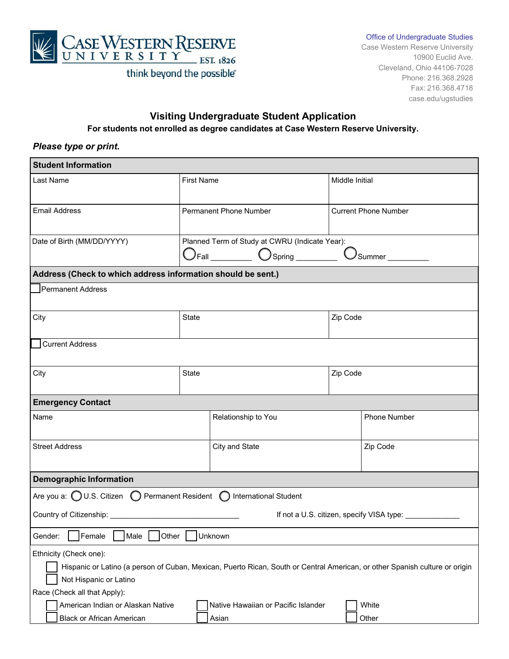

#### Office of Undergraduate Studies

Case Western Reserve University 10900 Euclid Ave. Cleveland, Ohio 44106-7028 Phone: 216.368.2928 Fax: 216.368.4718 case.edu/ugstudies

# **Visiting Undergraduate Student Application For students not enrolled as degree candidates at Case Western Reserve University.**

## *Please type or print.*

| <b>Student Information</b>                                                                                      |                                                                                                           |                                                                                                                             |
|-----------------------------------------------------------------------------------------------------------------|-----------------------------------------------------------------------------------------------------------|-----------------------------------------------------------------------------------------------------------------------------|
| Last Name                                                                                                       | <b>First Name</b>                                                                                         | Middle Initial                                                                                                              |
| <b>Email Address</b>                                                                                            | <b>Permanent Phone Number</b>                                                                             | <b>Current Phone Number</b>                                                                                                 |
| Date of Birth (MM/DD/YYYY)                                                                                      | Planned Term of Study at CWRU (Indicate Year):<br>$\bigcirc$ Fall $\bigcirc$ $\bigcirc$ Spring $\bigcirc$ | Summer __________                                                                                                           |
| Address (Check to which address information should be sent.)                                                    |                                                                                                           |                                                                                                                             |
| Permanent Address                                                                                               |                                                                                                           |                                                                                                                             |
| City                                                                                                            | State                                                                                                     | Zip Code                                                                                                                    |
| <b>Current Address</b>                                                                                          |                                                                                                           |                                                                                                                             |
| City                                                                                                            | <b>State</b>                                                                                              | Zip Code                                                                                                                    |
| <b>Emergency Contact</b>                                                                                        |                                                                                                           |                                                                                                                             |
| Name                                                                                                            | Relationship to You                                                                                       | <b>Phone Number</b>                                                                                                         |
| <b>Street Address</b>                                                                                           | City and State                                                                                            | Zip Code                                                                                                                    |
| <b>Demographic Information</b>                                                                                  |                                                                                                           |                                                                                                                             |
| Are you a: ( U.S. Citizen ( ) Permanent Resident ( ) International Student                                      |                                                                                                           |                                                                                                                             |
| Country of Citizenship: 2008 2010 2010 2010 2010 2011 2020 2021 2022 2023 2024 2022 2023 2024 2022 2023 2024 20 |                                                                                                           | If not a U.S. citizen, specify VISA type: ____________                                                                      |
| $\Box$<br>$\Box$<br>$\overline{\phantom{0}}$<br>Female<br>Other<br>Male<br>Gender:                              | −<br>Unknown                                                                                              |                                                                                                                             |
| Ethnicity (Check one):<br>Not Hispanic or Latino<br>Race (Check all that Apply):                                |                                                                                                           | Hispanic or Latino (a person of Cuban, Mexican, Puerto Rican, South or Central American, or other Spanish culture or origin |
| American Indian or Alaskan Native<br><b>Black or African American</b>                                           | Native Hawaiian or Pacific Islander<br>Asian                                                              | White<br>Other                                                                                                              |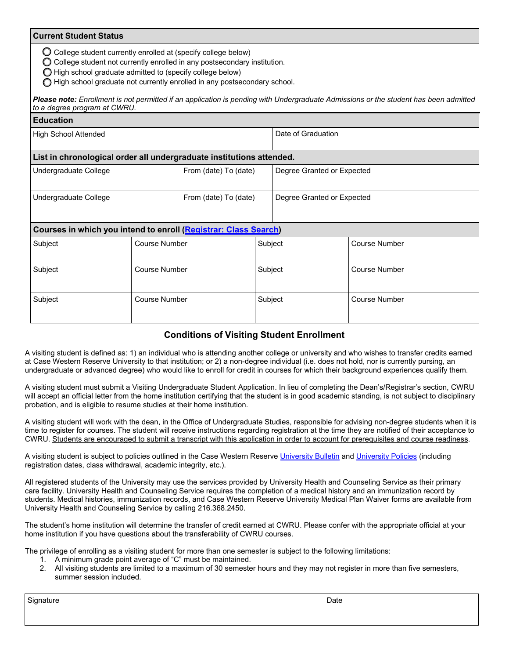### **Current Student Status**

 $\bigcirc$  College student currently enrolled at (specify college below)

 $\bigcirc$  College student not currently enrolled in any postsecondary institution.

- $\bigcirc$  High school graduate admitted to (specify college below)
- High school graduate not currently enrolled in any postsecondary school.

#### Please note: Enrollment is not permitted if an application is pending with Undergraduate Admissions or the student has been admitted *to a degree program at CWRU.*

| <b>Education</b>                                                     |                      |                       |                            |                            |                      |
|----------------------------------------------------------------------|----------------------|-----------------------|----------------------------|----------------------------|----------------------|
| <b>High School Attended</b>                                          |                      |                       | Date of Graduation         |                            |                      |
| List in chronological order all undergraduate institutions attended. |                      |                       |                            |                            |                      |
| Undergraduate College                                                |                      | From (date) To (date) | Degree Granted or Expected |                            |                      |
| Undergraduate College                                                |                      | From (date) To (date) |                            | Degree Granted or Expected |                      |
| Courses in which you intend to enroll (Registrar: Class Search)      |                      |                       |                            |                            |                      |
| Subject                                                              | <b>Course Number</b> |                       | Subject                    |                            | <b>Course Number</b> |
| Subject                                                              | <b>Course Number</b> |                       | Subject                    |                            | <b>Course Number</b> |
| Subject                                                              | <b>Course Number</b> |                       | Subject                    |                            | <b>Course Number</b> |

# **Conditions of Visiting Student Enrollment**

A visiting student is defined as: 1) an individual who is attending another college or university and who wishes to transfer credits earned at Case Western Reserve University to that institution; or 2) a non-degree individual (i.e. does not hold, nor is currently pursing, an undergraduate or advanced degree) who would like to enroll for credit in courses for which their background experiences qualify them.

A visiting student must submit a Visiting Undergraduate Student Application. In lieu of completing the Dean's/Registrar's section, CWRU will accept an official letter from the home institution certifying that the student is in good academic standing, is not subject to disciplinary probation, and is eligible to resume studies at their home institution.

A visiting student will work with the dean, in the Office of Undergraduate Studies, responsible for advising non-degree students when it is time to register for courses. The student will receive instructions regarding registration at the time they are notified of their acceptance to CWRU. Students are encouraged to submit a transcript with this application in order to account for prerequisites and course readiness.

A visiting student is subject to policies outlined in the Case Western Reserve [University Bulletin](https://case.edu/bulletin/) and University Policies (including registration dates, class withdrawal, academic integrity, etc.).

All registered students of the University may use the services provided by University Health and Counseling Service as their primary care facility. University Health and Counseling Service requires the completion of a medical history and an immunization record by students. Medical histories, immunization records, and Case Western Reserve University Medical Plan Waiver forms are available from University Health and Counseling Service by calling 216.368.2450.

The student's home institution will determine the transfer of credit earned at CWRU. Please confer with the appropriate official at your home institution if you have questions about the transferability of CWRU courses.

The privilege of enrolling as a visiting student for more than one semester is subject to the following limitations:

- 1. A minimum grade point average of "C" must be maintained.
- 2. All visiting students are limited to a maximum of 30 semester hours and they may not register in more than five semesters, summer session included.

| Signature | Date |
|-----------|------|
|           |      |